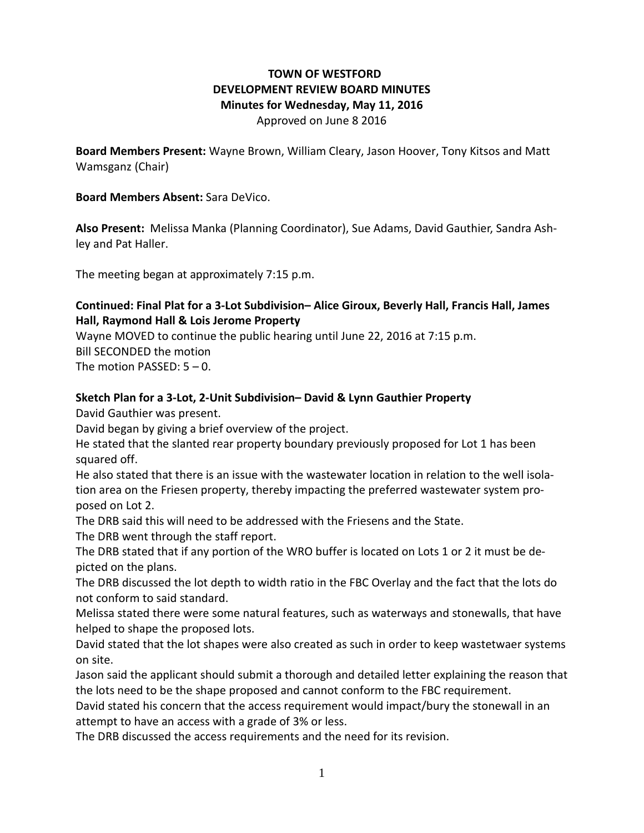# **TOWN OF WESTFORD DEVELOPMENT REVIEW BOARD MINUTES Minutes for Wednesday, May 11, 2016**

Approved on June 8 2016

**Board Members Present:** Wayne Brown, William Cleary, Jason Hoover, Tony Kitsos and Matt Wamsganz (Chair)

### **Board Members Absent:** Sara DeVico.

**Also Present:** Melissa Manka (Planning Coordinator), Sue Adams, David Gauthier, Sandra Ashley and Pat Haller.

The meeting began at approximately 7:15 p.m.

## **Continued: Final Plat for a 3-Lot Subdivision– Alice Giroux, Beverly Hall, Francis Hall, James Hall, Raymond Hall & Lois Jerome Property**

Wayne MOVED to continue the public hearing until June 22, 2016 at 7:15 p.m. Bill SECONDED the motion The motion PASSED: 5 – 0.

#### **Sketch Plan for a 3-Lot, 2-Unit Subdivision– David & Lynn Gauthier Property**

David Gauthier was present.

David began by giving a brief overview of the project.

He stated that the slanted rear property boundary previously proposed for Lot 1 has been squared off.

He also stated that there is an issue with the wastewater location in relation to the well isolation area on the Friesen property, thereby impacting the preferred wastewater system proposed on Lot 2.

The DRB said this will need to be addressed with the Friesens and the State.

The DRB went through the staff report.

The DRB stated that if any portion of the WRO buffer is located on Lots 1 or 2 it must be depicted on the plans.

The DRB discussed the lot depth to width ratio in the FBC Overlay and the fact that the lots do not conform to said standard.

Melissa stated there were some natural features, such as waterways and stonewalls, that have helped to shape the proposed lots.

David stated that the lot shapes were also created as such in order to keep wastetwaer systems on site.

Jason said the applicant should submit a thorough and detailed letter explaining the reason that the lots need to be the shape proposed and cannot conform to the FBC requirement.

David stated his concern that the access requirement would impact/bury the stonewall in an attempt to have an access with a grade of 3% or less.

The DRB discussed the access requirements and the need for its revision.